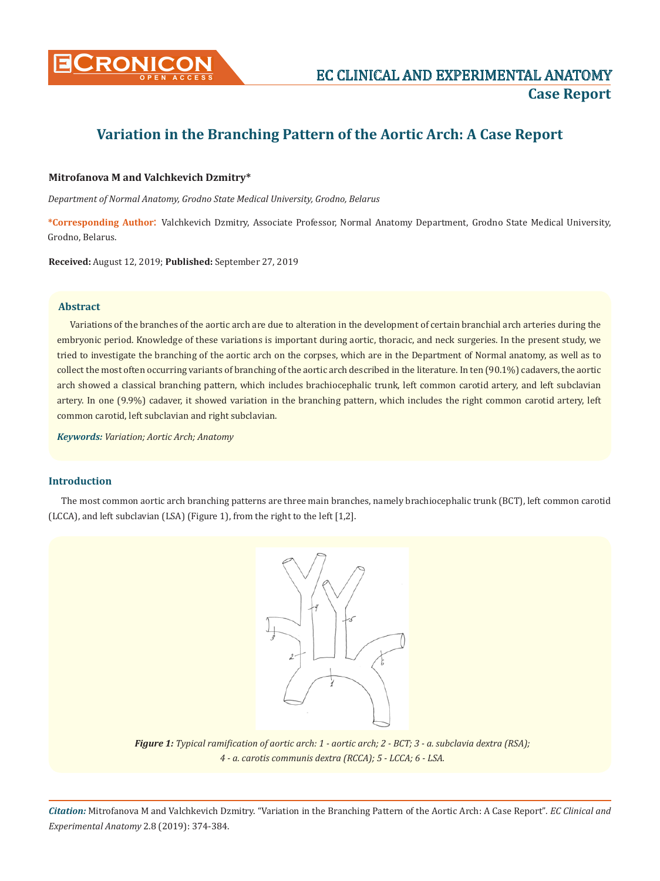

# **Variation in the Branching Pattern of the Aortic Arch: A Case Report**

## **Mitrofanova М and Valchkevich Dzmitry\***

*Department of Normal Anatomy, Grodno State Medical University, Grodno, Belarus*

**\*Corresponding Author**: Valchkevich Dzmitry, Associate Professor, Normal Anatomy Department, Grodno State Medical University, Grodno, Belarus.

**Received:** August 12, 2019; **Published:** September 27, 2019

## **Abstract**

Variations of the branches of the aortic arch are due to alteration in the development of certain branchial arch arteries during the embryonic period. Knowledge of these variations is important during aortic, thoracic, and neck surgeries. In the present study, we tried to investigate the branching of the aortic arch on the corpses, which are in the Department of Normal anatomy, as well as to collect the most often occurring variants of branching of the aortic arch described in the literature. In ten (90.1%) cadavers, the aortic arch showed a classical branching pattern, which includes brachiocephalic trunk, left common carotid artery, and left subclavian artery. In one (9.9%) cadaver, it showed variation in the branching pattern, which includes the right common carotid artery, left common carotid, left subclavian and right subclavian.

*Keywords: Variation; Aortic Arch; Anatomy*

## **Introduction**

The most common aortic arch branching patterns are three main branches, namely brachiocephalic trunk (BCT), left common carotid (LCCA), and left subclavian (LSA) (Figure 1), from the right to the left [1,2].



*Figure 1: Typical ramification of aortic arch: 1 - aortic arch; 2 - BCT; 3 - a. subclavia dextra (RSA); 4 - a. carotis communis dextra (RCCA); 5 - LCCA; 6 - LSA.*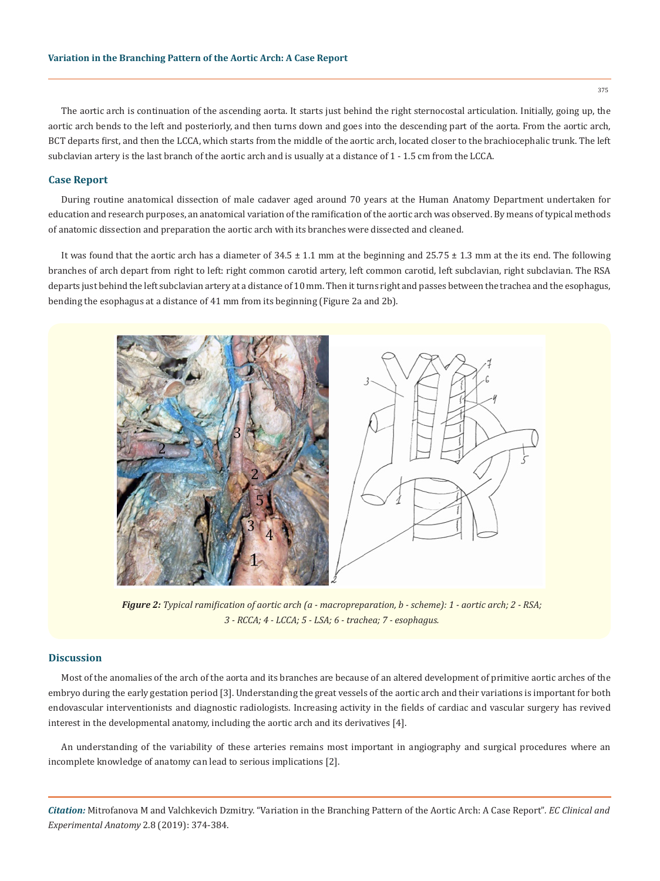The aortic arch is continuation of the ascending aorta. It starts just behind the right sternocostal articulation. Initially, going up, the aortic arch bends to the left and posteriorly, and then turns down and goes into the descending part of the aorta. From the aortic arch, BCT departs first, and then the LCCA, which starts from the middle of the aortic arch, located closer to the brachiocephalic trunk. The left subclavian artery is the last branch of the aortic arch and is usually at a distance of 1 - 1.5 cm from the LCCA.

#### **Case Report**

During routine anatomical dissection of male cadaver aged around 70 years at the Human Anatomy Department undertaken for education and research purposes, an anatomical variation of the ramification of the aortic arch was observed. By means of typical methods of anatomic dissection and preparation the aortic arch with its branches were dissected and cleaned.

It was found that the aortic arch has a diameter of  $34.5 \pm 1.1$  mm at the beginning and  $25.75 \pm 1.3$  mm at the its end. The following branches of arch depart from right to left: right common carotid artery, left common carotid, left subclavian, right subclavian. The RSA departs just behind the left subclavian artery at a distance of 10 mm. Then it turns right and passes between the trachea and the esophagus, bending the esophagus at a distance of 41 mm from its beginning (Figure 2a and 2b).



*Figure 2: Typical ramification of aortic arch (a - macropreparation, b - scheme): 1 - aortic arch; 2 - RSA; 3 - RCCA; 4 - LCCA; 5 - LSA; 6 - trachea; 7 - esophagus.*

## **Discussion**

Most of the anomalies of the arch of the aorta and its branches are because of an altered development of primitive aortic arches of the embryo during the early gestation period [3]. Understanding the great vessels of the aortic arch and their variations is important for both endovascular interventionists and diagnostic radiologists. Increasing activity in the fields of cardiac and vascular surgery has revived interest in the developmental anatomy, including the aortic arch and its derivatives [4].

An understanding of the variability of these arteries remains most important in angiography and surgical procedures where an incomplete knowledge of anatomy can lead to serious implications [2].

*Citation:* Mitrofanova М and Valchkevich Dzmitry. "Variation in the Branching Pattern of the Aortic Arch: A Case Report"*. EC Clinical and Experimental Anatomy* 2.8 (2019): 374-384.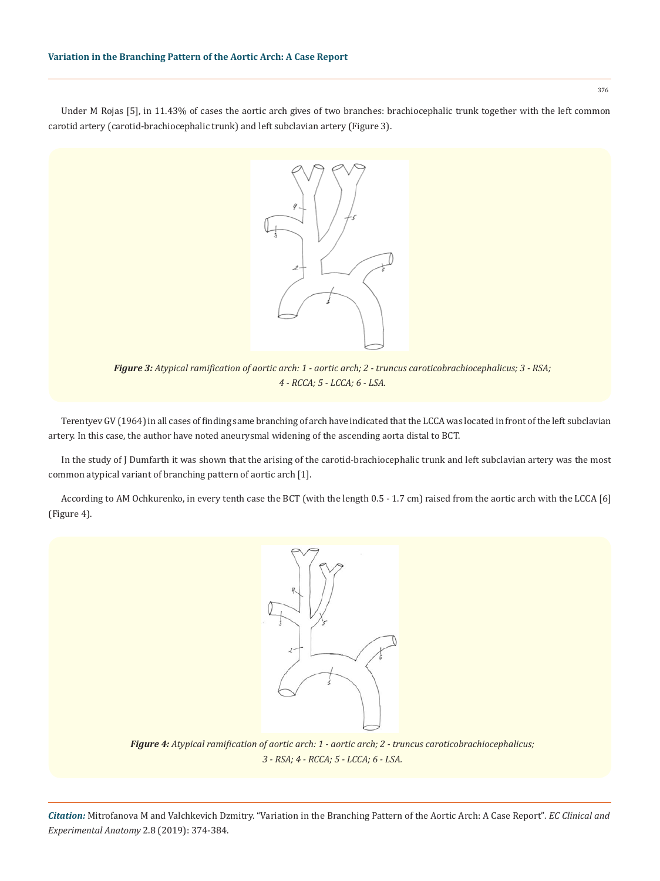Under M Rojas [5], in 11.43% of cases the aortic arch gives of two branches: brachiocephalic trunk together with the left common carotid artery (carotid-brachiocephalic trunk) and left subclavian artery (Figure 3).



*Figure 3: Atypical ramification of aortic arch: 1 - aortic arch; 2 - truncus caroticobrachiocephalicus; 3 - RSA; 4 - RCCA; 5 - LCCA; 6 - LSA.*

Terentyev GV (1964) in all cases of finding same branching of arch have indicated that the LCCA was located in front of the left subclavian artery. In this case, the author have noted aneurysmal widening of the ascending aorta distal to BCT.

In the study of J Dumfarth it was shown that the arising of the carotid-brachiocephalic trunk and left subclavian artery was the most common atypical variant of branching pattern of aortic arch [1].

According to AM Ochkurenko, in every tenth case the BCT (with the length 0.5 - 1.7 cm) raised from the aortic arch with the LCCA [6] (Figure 4).



*Figure 4: Atypical ramification of aortic arch: 1 - aortic arch; 2 - truncus caroticobrachiocephalicus; 3 - RSA; 4 - RCCA; 5 - LCCA; 6 - LSA.*

*Citation:* Mitrofanova М and Valchkevich Dzmitry. "Variation in the Branching Pattern of the Aortic Arch: A Case Report"*. EC Clinical and Experimental Anatomy* 2.8 (2019): 374-384.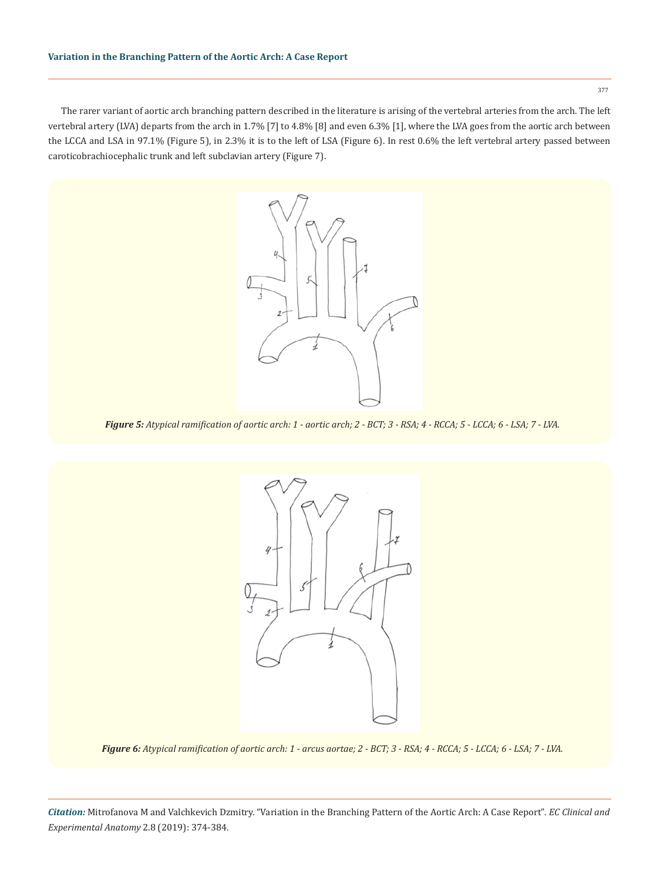The rarer variant of aortic arch branching pattern described in the literature is arising of the vertebral arteries from the arch. The left vertebral artery (LVA) departs from the arch in 1.7% [7] to 4.8% [8] and even 6.3% [1], where the LVA goes from the aortic arch between the LCCA and LSA in 97.1% (Figure 5), in 2.3% it is to the left of LSA (Figure 6). In rest 0.6% the left vertebral artery passed between caroticobrachiocephalic trunk and left subclavian artery (Figure 7).



*Figure 6: Atypical ramification of aortic arch: 1 - arcus aortae; 2 - BCT; 3 - RSA; 4 - RCCA; 5 - LCCA; 6 - LSA; 7 - LVA.*



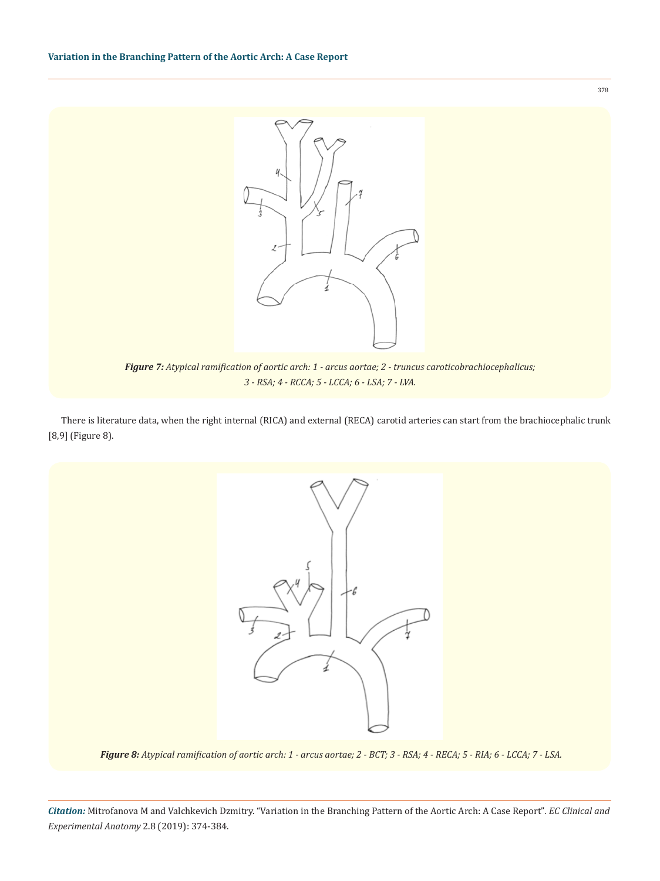

*Figure 7: Atypical ramification of aortic arch: 1 - arcus aortae; 2 - truncus caroticobrachiocephalicus; 3 - RSA; 4 - RCCA; 5 - LCCA; 6 - LSA; 7 - LVA.*

There is literature data, when the right internal (RICA) and external (RECA) carotid arteries can start from the brachiocephalic trunk [8,9] (Figure 8).



*Figure 8: Atypical ramification of aortic arch: 1 - arcus aortae; 2 - BCT; 3 - RSA; 4 - RECA; 5 - RIA; 6 - LCCA; 7 - LSA.*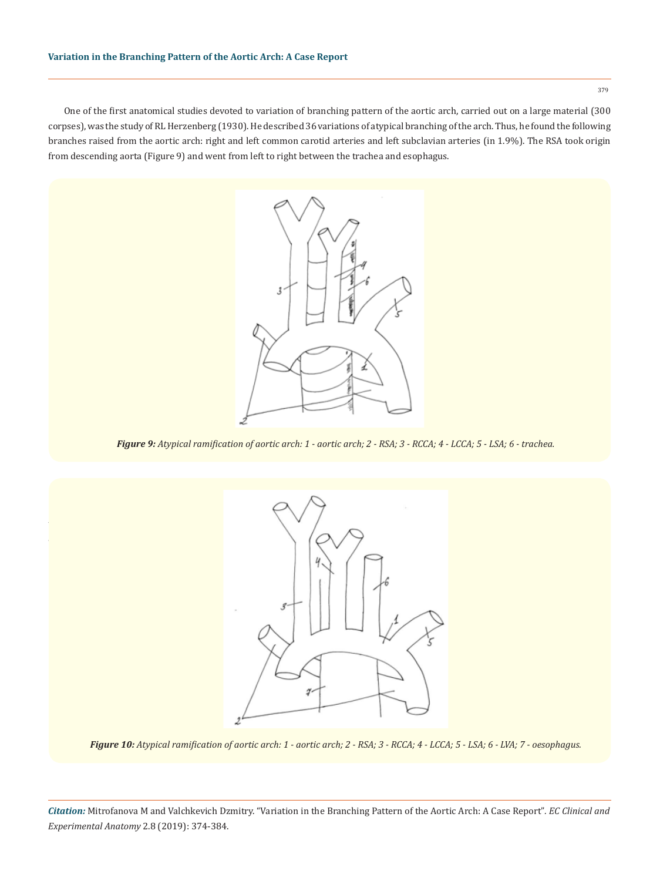One of the first anatomical studies devoted to variation of branching pattern of the aortic arch, carried out on a large material (300 corpses), was the study of RL Herzenberg (1930). He described 36 variations of atypical branching of the arch. Thus, he found the following branches raised from the aortic arch: right and left common carotid arteries and left subclavian arteries (in 1.9%). The RSA took origin from descending aorta (Figure 9) and went from left to right between the trachea and esophagus.



*Figure 9: Atypical ramification of aortic arch: 1 - aortic arch; 2 - RSA; 3 - RCCA; 4 - LCCA; 5 - LSA; 6 - trachea.*



*Figure 10: Atypical ramification of aortic arch: 1 - aortic arch; 2 - RSA; 3 - RCCA; 4 - LCCA; 5 - LSA; 6 - LVA; 7 - oesophagus.*

*Citation:* Mitrofanova М and Valchkevich Dzmitry. "Variation in the Branching Pattern of the Aortic Arch: A Case Report"*. EC Clinical and Experimental Anatomy* 2.8 (2019): 374-384.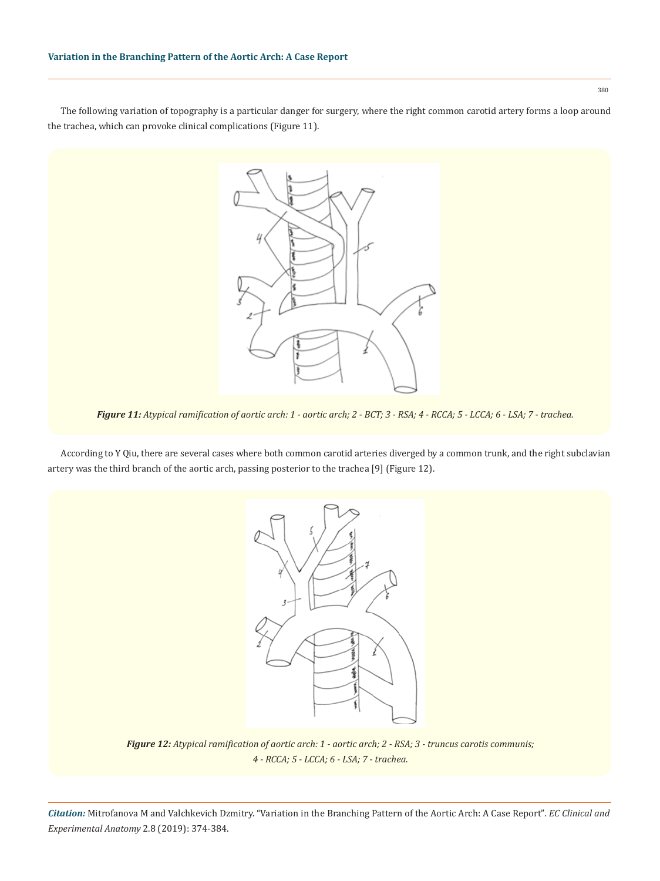The following variation of topography is a particular danger for surgery, where the right common carotid artery forms a loop around the trachea, which can provoke clinical complications (Figure 11).

*Figure 11: Atypical ramification of aortic arch: 1 - aortic arch; 2 - BCT; 3 - RSA; 4 - RCCA; 5 - LCCA; 6 - LSA; 7 - trachea.*

According to Y Qiu, there are several cases where both common carotid arteries diverged by a common trunk, and the right subclavian artery was the third branch of the aortic arch, passing posterior to the trachea [9] (Figure 12).



*Figure 12: Atypical ramification of aortic arch: 1 - aortic arch; 2 - RSA; 3 - truncus carotis communis; 4 - RCCA; 5 - LCCA; 6 - LSA; 7 - trachea.*

*Citation:* Mitrofanova М and Valchkevich Dzmitry. "Variation in the Branching Pattern of the Aortic Arch: A Case Report"*. EC Clinical and Experimental Anatomy* 2.8 (2019): 374-384.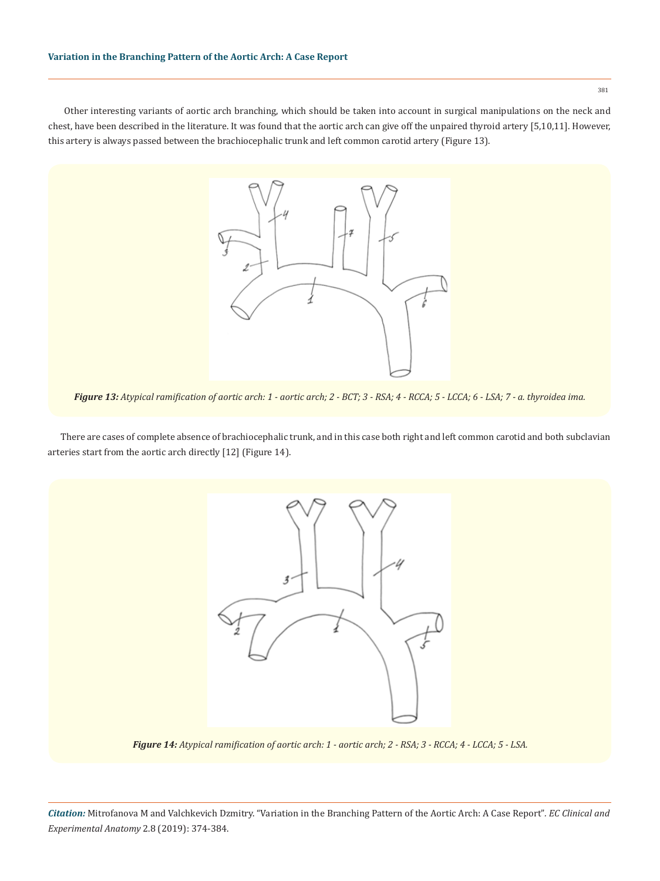381

 Other interesting variants of aortic arch branching, which should be taken into account in surgical manipulations on the neck and chest, have been described in the literature. It was found that the aortic arch can give off the unpaired thyroid artery [5,10,11]. However, this artery is always passed between the brachiocephalic trunk and left common carotid artery (Figure 13).

*Figure 13: Atypical ramification of aortic arch: 1 - aortic arch; 2 - BCT; 3 - RSA; 4 - RCCA; 5 - LCCA; 6 - LSA; 7 - a. thyroidea ima.*

There are cases of complete absence of brachiocephalic trunk, and in this case both right and left common carotid and both subclavian arteries start from the aortic arch directly [12] (Figure 14).



*Figure 14: Atypical ramification of aortic arch: 1 - aortic arch; 2 - RSA; 3 - RCCA; 4 - LCCA; 5 - LSA.*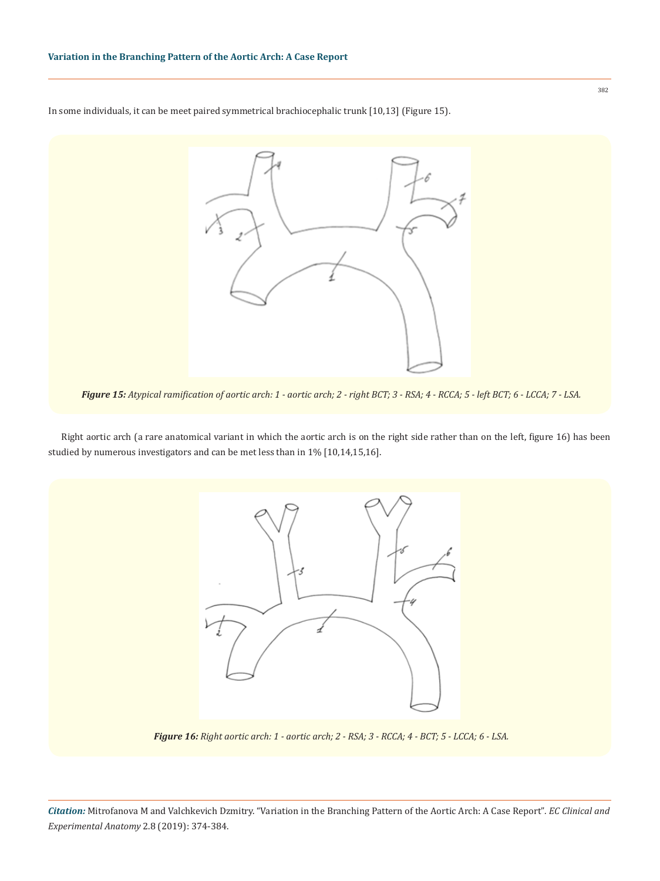In some individuals, it can be meet paired symmetrical brachiocephalic trunk [10,13] (Figure 15).



*Figure 15: Atypical ramification of aortic arch: 1 - aortic arch; 2 - right BCT; 3 - RSA; 4 - RCCA; 5 - left BCT; 6 - LCCA; 7 - LSA.*

Right aortic arch (a rare anatomical variant in which the aortic arch is on the right side rather than on the left, figure 16) has been studied by numerous investigators and can be met less than in 1% [10,14,15,16].



*Figure 16: Right aortic arch: 1 - aortic arch; 2 - RSA; 3 - RCCA; 4 - BCT; 5 - LCCA; 6 - LSA.*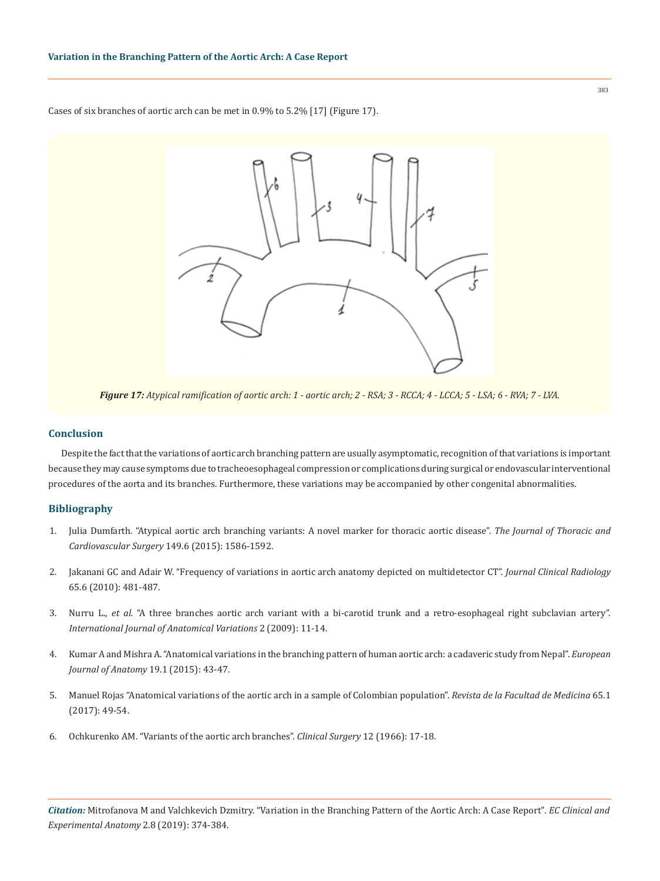Cases of six branches of aortic arch can be met in 0.9% to 5.2% [17] (Figure 17).



### **Conclusion**

Despite the fact that the variations of aortic arch branching pattern are usually asymptomatic, recognition of that variations is important because they may cause symptoms due to tracheoesophageal compression or complications during surgical or endovascular interventional procedures of the aorta and its branches. Furthermore, these variations may be accompanied by other congenital abnormalities.

## **Bibliography**

- 1. [Julia Dumfarth. "Atypical aortic arch branching variants: A novel marker for thoracic aortic disease".](https://www.ncbi.nlm.nih.gov/pubmed/25802134) *The Journal of Thoracic and Cardiovascular Surgery* [149.6 \(2015\): 1586-1592.](https://www.ncbi.nlm.nih.gov/pubmed/25802134)
- 2. [Jakanani GC and Adair W. "Frequency of variations in aortic arch anatomy depicted on multidetector CT".](https://www.ncbi.nlm.nih.gov/pubmed/20451016) *Journal Clinical Radiology*  [65.6 \(2010\): 481-487.](https://www.ncbi.nlm.nih.gov/pubmed/20451016)
- 3. Nurru L., *et al.* ["A three branches aortic arch variant with a bi-carotid trunk and a retro-esophageal right subclavian artery".](https://www.pulsus.com/scholarly-articles/a-three-branches-aortic-arch-variant-with-a-bicarotid-trunk-and-a-retroesophageal-right-subclavian-artery.html)  *[International Journal of Anatomical Variations](https://www.pulsus.com/scholarly-articles/a-three-branches-aortic-arch-variant-with-a-bicarotid-trunk-and-a-retroesophageal-right-subclavian-artery.html)* 2 (2009): 11-14.
- 4. [Kumar A and Mishra A. "Anatomical variations in the branching pattern of human aortic arch: a cadaveric study from Nepal".](http://eurjanat.com/web/paper.php?id=140174am) *European [Journal of Anatomy](http://eurjanat.com/web/paper.php?id=140174am)* 19.1 (2015): 43-47.
- 5. [Manuel Rojas "Anatomical variations of the aortic arch in a sample of Colombian population".](http://www.scielo.org.co/scielo.php?script=sci_arttext&pid=S0120-00112017000100049) *Revista de la Facultad de Medicina* 65.1 [\(2017\): 49-54.](http://www.scielo.org.co/scielo.php?script=sci_arttext&pid=S0120-00112017000100049)
- 6. Ochkurenko AM. "Variants of the aortic arch branches". *Clinical Surgery* 12 (1966): 17-18.